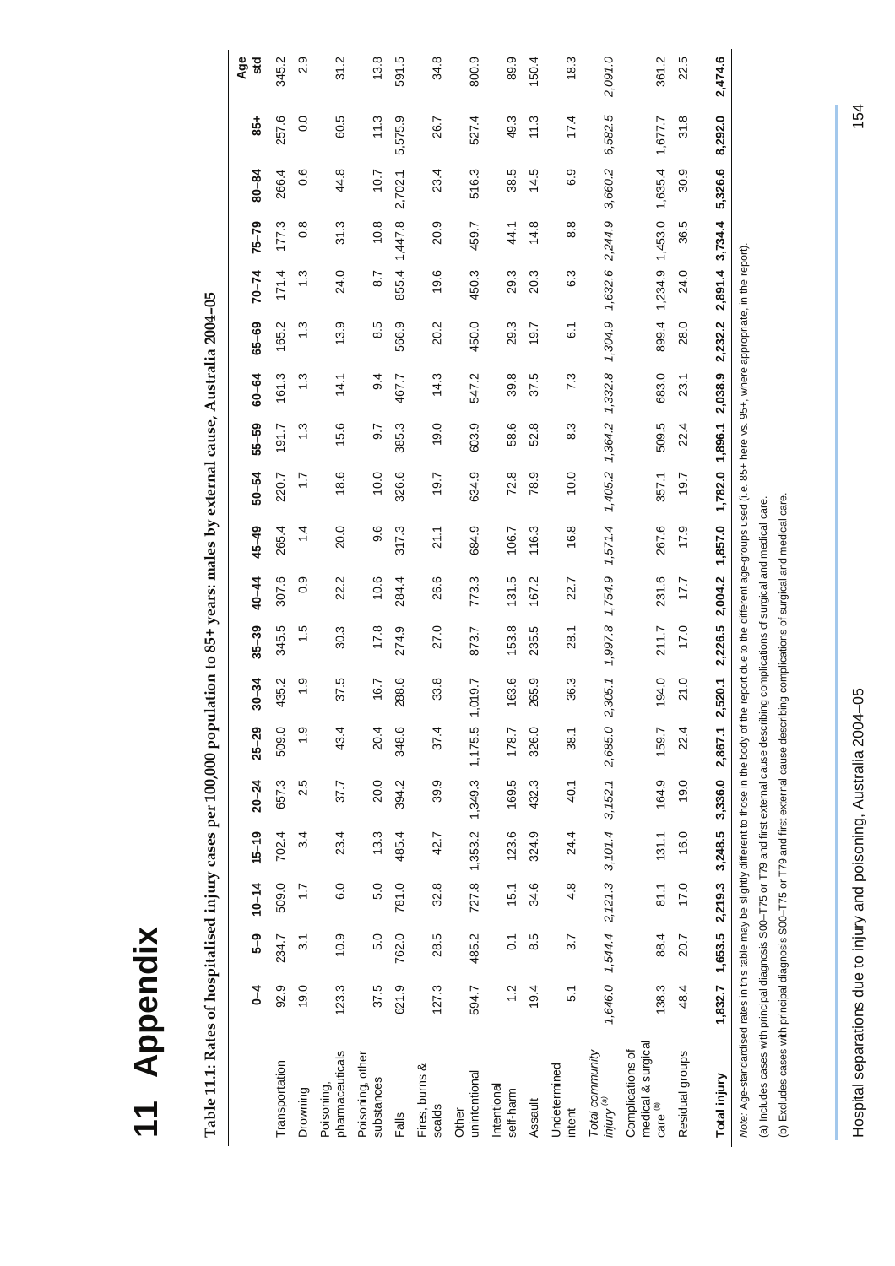| ۳      |
|--------|
| С      |
|        |
| ١      |
| b<br>C |
| τ      |
| ς      |
| ¢      |
|        |
|        |
|        |
|        |

Table 11.1: Rates of hospitalised injury cases per 100,000 population to 85+ years: males by external cause, Australia 2004-05 **Table 11.1: Rates of hospitalised injury cases per 100,000 population to 85+ years: males by external cause, Australia 2004–05** 

<span id="page-0-0"></span>

|                                                                                                                                                                                                                                               | 1             | ე<br>-<br>5                                       | $10 - 14$        | $15 - 19$ | $20 - 24$                     | $25 - 29$     | $30 - 34$ | $35 - 39$ | $40 - 44$     | $45 - 49$                                                                                                | $50 - 54$    | 55-59            | $60 - 64$   | $65 - 69$      | $70 - 74$       | $75 - 79$ | 80-84   | 54               | Age<br><b>std</b> |
|-----------------------------------------------------------------------------------------------------------------------------------------------------------------------------------------------------------------------------------------------|---------------|---------------------------------------------------|------------------|-----------|-------------------------------|---------------|-----------|-----------|---------------|----------------------------------------------------------------------------------------------------------|--------------|------------------|-------------|----------------|-----------------|-----------|---------|------------------|-------------------|
| Transportation                                                                                                                                                                                                                                | 92.9          | 234.7                                             | 509.0            | 702.4     | 657.3                         | 509.0         | 435.2     | 345.5     | 307.6         | 265.4                                                                                                    | 220.7        | 191.7            | 161.3       | 165.2          | 171.4           | 177.3     | 266.4   | 257.6            | 345.2             |
| Drowning                                                                                                                                                                                                                                      | 19.0          | $\overline{3}$                                    | $\overline{1}$ . | 3.4       | 2.5                           | $\frac{0}{1}$ | <u>ი</u>  | 1.5       | $\frac{0}{2}$ | $\frac{4}{4}$                                                                                            | $\ddot{ }$ : | $\frac{3}{1}$    | $\ddot{.}3$ | $\frac{3}{2}$  | $\frac{3}{2}$   | 0.8       | 0.6     | $\overline{0}$ . | 2.9               |
| pharmaceuticals<br>Poisoning,                                                                                                                                                                                                                 | 123.3         | 10.9                                              | 6.0              | 23.4      | 37.7                          | 43.4          | 37.5      | 30.3      | 22.2          | 20.0                                                                                                     | 18.6         | 15.6             | 14.1        | 13.9           | 24.0            | 31.3      | 44.8    | 60.5             | 31.2              |
| Poisoning, other<br>substances                                                                                                                                                                                                                | 37.5          | 5.0                                               | 5.0              | 13.3      | 20.0                          | 20.4          | 16.7      | 17.8      | 10.6          | 9.6                                                                                                      | 10.0         | $\overline{9.7}$ | 9.4         | 8.5            | 8.7             | 10.8      | 10.7    | 11.3             | 13.8              |
| Falls                                                                                                                                                                                                                                         | 621.9         | 762.0                                             | 781.0            | 485.4     | 394.2                         | 348.6         | 288.6     | 274.9     | 284.4         | 317.3                                                                                                    | 326.6        | 385.3            | 467.7       | 566.9          | 855.4           | 1,447.8   | 2,702.1 | 5,575.9          | 591.5             |
| Fires, burns &<br>scalds                                                                                                                                                                                                                      | 127.3         | 28.5                                              | 32.8             | 42.7      | 39.9                          | 37.4          | 33.8      | 27.0      | 26.6          | 21.1                                                                                                     | 19.7         | 19.0             | 14.3        | 20.2           | 19.6            | 20.9      | 23.4    | 26.7             | 34.8              |
| unintentional<br>Other                                                                                                                                                                                                                        | 594.7         | 485.2                                             |                  |           | 727.8 1,353.2 1,349.3 1,175.5 |               | V.610     | 873.7     | 773.3         | 684.9                                                                                                    | 634.9        | 603.9            | 547.2       | 450.0          | 450.3           | 459.7     | 516.3   | 527.4            | 800.9             |
| Intentional<br>self-harm                                                                                                                                                                                                                      | $\frac{2}{1}$ | $\overline{0}$                                    | 15.1             | 123.6     | 169.5                         | 178.7         | 163.6     | 53.8      | 131.5         | 106.7                                                                                                    | 72.8         | 58.6             | 39.8        | 29.3           | 29.3            | 44.1      | 38.5    | 49.3             | 89.9              |
| Assault                                                                                                                                                                                                                                       | 19.4          | 8.5                                               | 34.6             | 324.9     | 432.3                         | 326.0         | 265.9     | 235.5     | 167.2         | 116.3                                                                                                    | 78.9         | 52.8             | 37.5        | 19.7           | 20.3            | 14.8      | 14.5    | 11.3             | 150.4             |
| Undetermined<br>intent                                                                                                                                                                                                                        | 51            | 3.7                                               | 4.8              | 24.4      | 40.1                          | 38.1          | 36.3      | 28.1      | 22.7          | 16.8                                                                                                     | 10.0         | 8.3              | 7.3         | $\overline{6}$ | 6.3             | 8.8       | 6.9     | 17.4             | 18.3              |
| Total community<br><sup>(a)</sup> Aniui                                                                                                                                                                                                       |               | $1,646.0$ $1,544.4$ $2,121.3$ $3,101.4$ $3,152.1$ |                  |           |                               | 2,685.0       | 2,305.1   | 1,997.8   | 1,754.9       | 1,571.4                                                                                                  | 1,405.2      | 1,364.2          | 1,332.8     | 1,304.9        | 1,632.6         | 2,244.9   | 3,660.2 | 6,582.5          | 2,091.0           |
| medical & surgical<br>Complications of<br>care <sup>(b)</sup>                                                                                                                                                                                 | 138.3         | 88.4                                              | 81.1             | 131.1     | 164.9                         | 159.7         | 0.194     | 211.7     | 231.6         | 267.6                                                                                                    | 357.1        | 509.5            | 683.0       | 899.4          | 1,234.9 1,453.0 |           | 1,635.4 | 1,677.7          | 361.2             |
| Residual groups                                                                                                                                                                                                                               | 48.4          | 20.7                                              | 17.0             | 16.0      | 19.0                          | 22.4          | 21.0      | 17.0      | 17.7          | 17.9                                                                                                     | 19.7         | 22.4             | 23.1        | 28.0           | 24.0            | 36.5      | 30.9    | 31.8             | 22.5              |
| <b>Total injury</b>                                                                                                                                                                                                                           |               | 1,832.7 1,653.5 2,219.3                           |                  | 3,248.5   | 3,336.0                       | 2,867.1       | 2,520.1   | 2,226.5   | 2,004.2       | 1,857.0                                                                                                  | 1,782.0      | 1,896.1          | 2,038.9     | 2,232.2        | 2,891.4         | 3,734.4   | 5,326.6 | 8,292.0          | 2,474.6           |
| (a) Includes cases with principal diagnosis S00-T75 or T79 and first external cause describing complications of surgical and medical care.<br>Note: Age-standardised rates in this table may be slightly different to those in the body of th |               |                                                   |                  |           |                               |               |           |           |               | e report due to the different age-groups used (i.e. 85+ here vs. 95+, where appropriate, in the report). |              |                  |             |                |                 |           |         |                  |                   |

Hospital separations due to injury and poisoning, Australia 2004–05 154 Hospital separations due to injury and poisoning, Australia 2004-05

(b) Excludes cases with principal diagnosis S00–T75 or T79 and first external cause describing complications of surgical and medical care.

(b) Excludes cases with principal diagnosis S00-T75 or T79 and first external cause describing complications of surgical and medical care.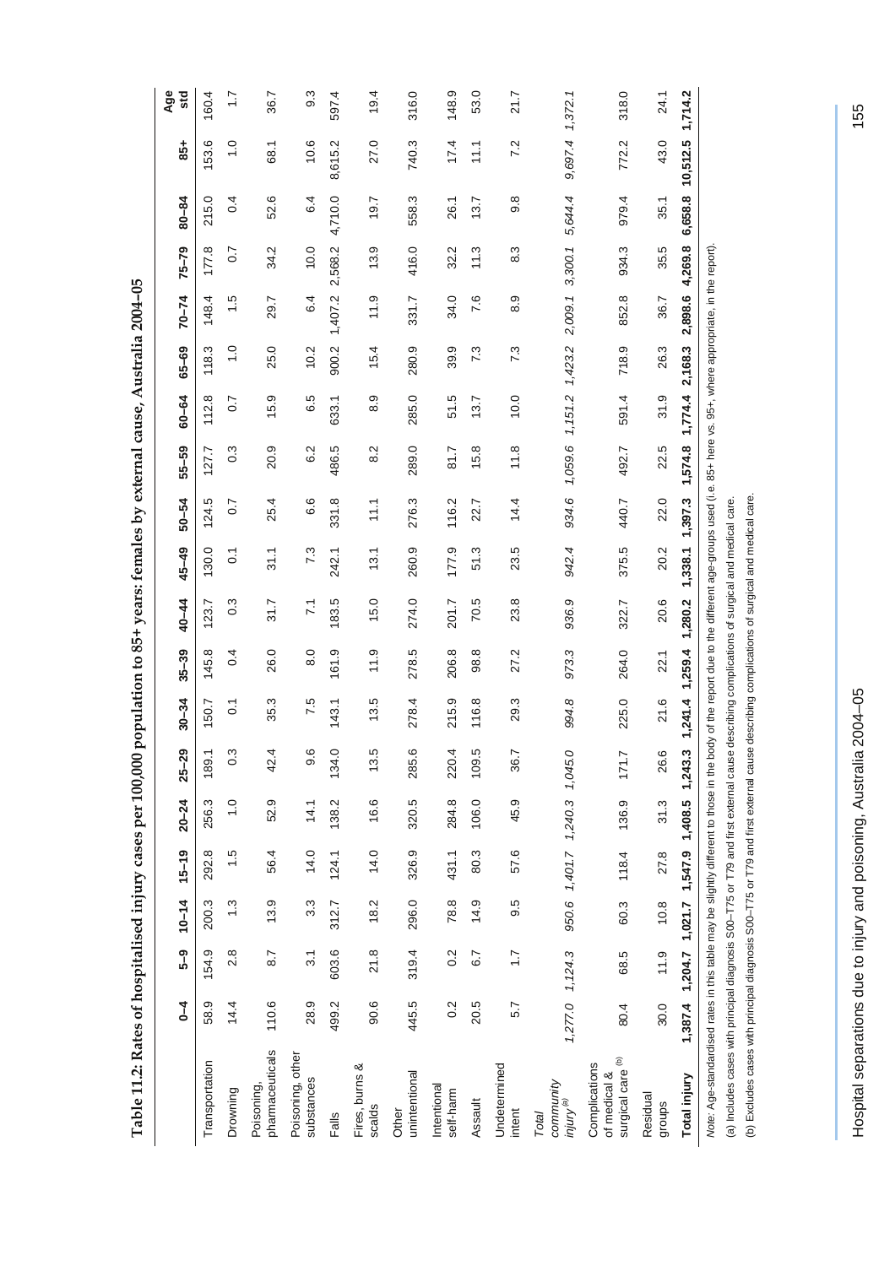| alised injury cases per 100,000 population to 85+ years: females by external cause, Australia 2004–05 |
|-------------------------------------------------------------------------------------------------------|
|                                                                                                       |
|                                                                                                       |
|                                                                                                       |
|                                                                                                       |
|                                                                                                       |
| Í                                                                                                     |
|                                                                                                       |
|                                                                                                       |
|                                                                                                       |
|                                                                                                       |
|                                                                                                       |
|                                                                                                       |
|                                                                                                       |
|                                                                                                       |
|                                                                                                       |
|                                                                                                       |
|                                                                                                       |

<span id="page-1-0"></span>

|                                                                                                                                                                                                                                                                                                | $\overline{1}$ | <u>ე</u><br>5-მ                         | $10 - 14$ | $15 - 19$                     | $20 - 24$     | $25 - 29$ | $30 - 34$                                              | $35 - 39$         | 40-44           | $45 - 49$       | $50 - 54$      | 55–59         | $60 - 64$      | 65-69         | $70 - 74$ | $75 - 79$      | $80 - 84$ | $\frac{1}{6}$     | Age<br>std   |
|------------------------------------------------------------------------------------------------------------------------------------------------------------------------------------------------------------------------------------------------------------------------------------------------|----------------|-----------------------------------------|-----------|-------------------------------|---------------|-----------|--------------------------------------------------------|-------------------|-----------------|-----------------|----------------|---------------|----------------|---------------|-----------|----------------|-----------|-------------------|--------------|
| Transportation                                                                                                                                                                                                                                                                                 | 58.9           | 154.9                                   | 200.3     | 292.8                         | 256.3         | 189.1     | 50.7                                                   | 145.8             | 123.7           | 130.0           | 124.5          | 127.7         | 112.8          | 118.3         | 148.4     | 177.8          | 215.0     | 153.6             | 160.4        |
| Drowning                                                                                                                                                                                                                                                                                       | 14.4           | 2.8                                     | 1.3       | 1.5                           | $\frac{0}{1}$ | ိ         | $\overline{0}$                                         | 0.4               | $\frac{3}{2}$   | $\overline{0}$  | $\overline{0}$ | $\frac{3}{2}$ | $\overline{0}$ | $\frac{0}{1}$ | 1.5       | $\overline{0}$ | 0.4       | $\overline{1}$ .0 | $\ddot{ }$ : |
| pharmaceuticals<br>Poisoning,                                                                                                                                                                                                                                                                  | 110.6          | 8.7                                     | 13.9      | 56.4                          | 52.9          | 42.4      | 35.3                                                   | 26.0              | 31.7            | 31.1            | 25.4           | 20.9          | 15.9           | 25.0          | 29.7      | 34.2           | 52.6      | 68.1              | 36.7         |
| Poisoning, other<br>substances                                                                                                                                                                                                                                                                 | 28.9           | $\overline{3}$ .1                       | 3.3       | 14.0                          | 14.1          | 9.6       | 7.5                                                    | $\overline{8}$ .0 | $\overline{71}$ | 7.3             | 6.6            | 6.2           | 6.5            | 10.2          | 6.4       | 10.0           | 6.4       | 10.6              | 9.3          |
| Falls                                                                                                                                                                                                                                                                                          | 499.2          | 603.6                                   | 312.7     | 124.1                         | 138.2         | 134.0     | 143.1                                                  | 161.9             | 183.5           | 242.1           | 331.8          | 486.5         | 633.1          | 900.2         | 1,407.2   | 2,568.2        | 4,710.0   | 8,615.2           | 597.4        |
| Fires, burns &<br>scalds                                                                                                                                                                                                                                                                       | 90.6           | 21.8                                    | 18.2      | 14.0                          | 16.6          | 13.5      | 13.5                                                   | 11.9              | 15.0            | 13.1            | 11.1           | 8.2           | 8.9            | 15.4          | 11.9      | 13.9           | 19.7      | 27.0              | 19.4         |
| unintentional<br>Other                                                                                                                                                                                                                                                                         | 445.5          | 319.4                                   | 296.0     | 326.9                         | 320.5         | 285.6     | 278.4                                                  | 278.5             | 274.0           | 260.9           | 276.3          | 289.0         | 285.0          | 280.9         | 331.7     | 416.0          | 558.3     | 740.3             | 316.0        |
| Intentional<br>self-harm                                                                                                                                                                                                                                                                       | 0.2            | 0.2                                     | 78.8      | 431.1                         | 284.8         | 220.4     | 215.9                                                  | 206.8             | 201.7           | 177.9           | 116.2          | 81.7          | 51.5           | 39.9          | 34.0      | 32.2           | 26.1      | 17.4              | 148.9        |
| Assault                                                                                                                                                                                                                                                                                        | 20.5           | 6.7                                     | 14.9      | 80.3                          | 106.0         | 109.5     | 116.8                                                  | 98.8              | 70.5            | 51.3            | 22.7           | 15.8          | 13.7           | 7.3           | 7.6       | 11.3           | 13.7      | 11.1              | 53.0         |
| Undetermined<br>intent                                                                                                                                                                                                                                                                         | 5.7            | $\overline{1.7}$                        | 9.5       | 57.6                          | 45.9          | 36.7      | 29.3                                                   | 27.2              | 23.8            | 23.5            | 14.4           | 11.8          | 10.0           | 7.3           | 8.9       | 8.3            | 9.8       | 7.2               | 21.7         |
| community<br><sup>(a)</sup> Anjui<br>Total                                                                                                                                                                                                                                                     |                | 1,277.0 1,124.3                         |           | 950.6 1,401.7 1,240.3 1,045.0 |               |           | 994.8                                                  | 973.3             | 936.9           | 942.4           | 934.6          | 1,059.6       | 1,151.2        | 1,423.2       | 2,009.1   | 3,300.1        | 5,644.4   | 9,697.4           | 1,372.1      |
| surgical care <sup>(b)</sup><br>Complications<br>of medical &                                                                                                                                                                                                                                  | 80.4           | 68.5                                    | 60.3      | 118.4                         | 136.9         | 771.7     | 225.0                                                  | 264.0             | 322.7           | 375.5           | 440.7          | 492.7         | 591.4          | 718.9         | 852.8     | 934.3          | 979.4     | 772.2             | 318.0        |
| Residual<br>groups                                                                                                                                                                                                                                                                             | 30.0           | 11.9                                    | 10.8      | 27.8                          | 31.3          | 26.6      | 21.6                                                   | 22.1              | 20.6            | 20.2            | 22.0           | 22.5          | 31.9           | 26.3          | 36.7      | 35.5           | 35.1      | 43.0              | 24.1         |
| Total injury                                                                                                                                                                                                                                                                                   |                | 1,387.4 1,204.7 1,021.7 1,547.9 1,408.5 |           |                               |               | 1,243.3   | 1,241.4 1,259.4 1,280.2                                |                   |                 | 1,338.1 1,397.3 |                | 1,574.8       | 1,774.4        | 2,168.3       | 2,898.6   | 4,269.8        | 6,658.8   | 10,512.5          | 1,714.2      |
| Note: Age-standardised rates in this table may be slightly different to those in the body of the report due to the different age-groups used (i.e. 85+ here vs. 95+, where appropriate, in the report).<br>(a) Includes cases with principal diagnosis S00-T75 or T79 and first external cause |                |                                         |           |                               |               |           | describing complications of surgical and medical care. |                   |                 |                 |                |               |                |               |           |                |           |                   |              |

Hospital separations due to injury and poisoning, Australia 2004–05 155 Hospital separations due to injury and poisoning, Australia 2004-05

(b) Excludes cases with principal diagnosis S00–T75 or T79 and first external cause describing complications of surgical and medical care.

(b) Excludes cases with principal diagnosis S00-T75 or T79 and first external cause describing complications of surgical and medical care.

155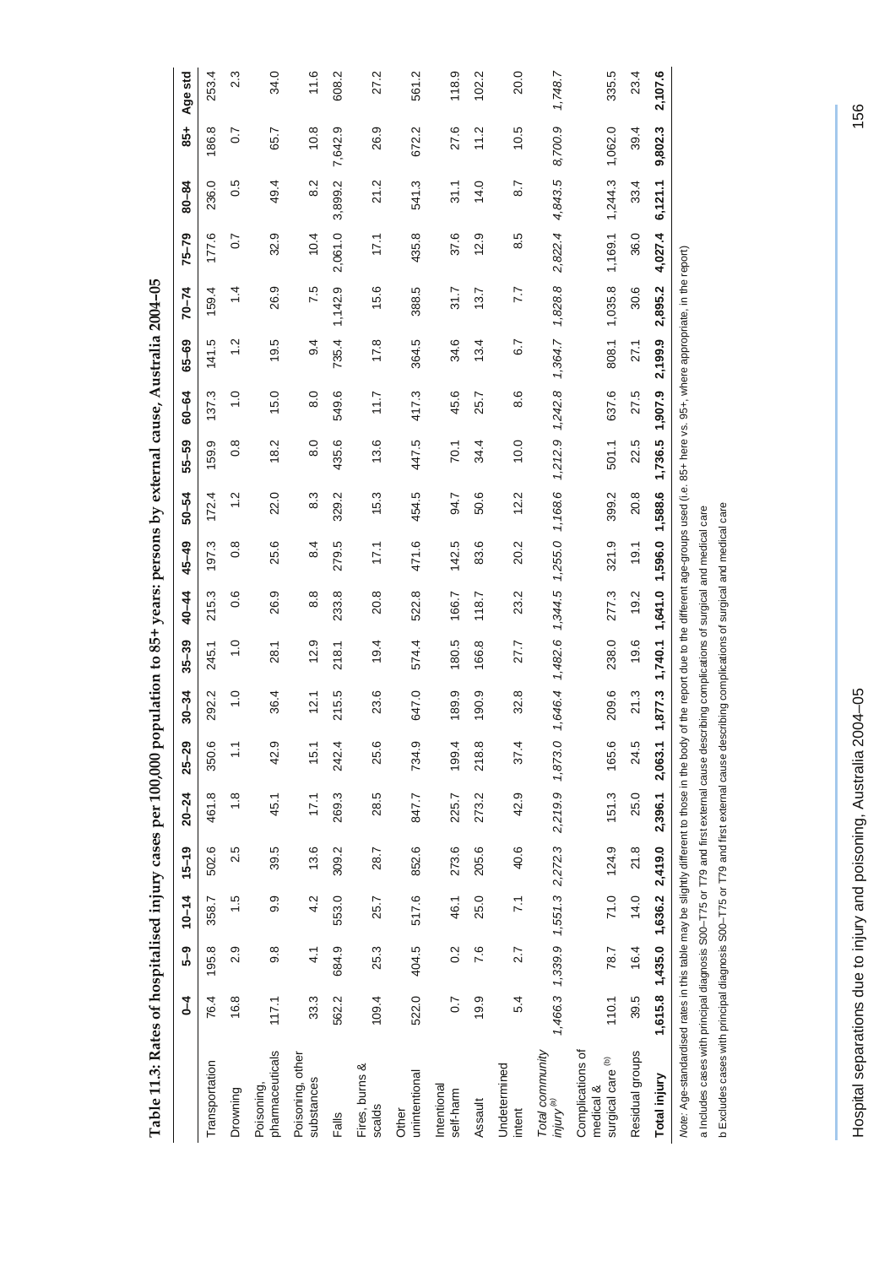<span id="page-2-0"></span>

|                                                                                                                                         | $\frac{4}{3}$  | ე<br>-ი                         | $10 - 14$ | $15 - 19$ | $20 - 24$                                       | $25 - 29$     | $30 - 34$                                                                                                    | $35 - 39$     | $40 - 44$     | 45-49            | $50 - 54$ | 55-59            | 60-64             | $65 - 69$ | $70 - 74$ | $75 - 79$        | $80 - 84$ | $\frac{1}{85}$   | Age std |
|-----------------------------------------------------------------------------------------------------------------------------------------|----------------|---------------------------------|-----------|-----------|-------------------------------------------------|---------------|--------------------------------------------------------------------------------------------------------------|---------------|---------------|------------------|-----------|------------------|-------------------|-----------|-----------|------------------|-----------|------------------|---------|
| Transportation                                                                                                                          | 76.4           | 195.8                           | 358.7     | 502.6     | 461.8                                           | 350.6         | 292.2                                                                                                        | 245.1         | 215.3         | 197.3            | 172.4     | 159.9            | 137.3             | 141.5     | 159.4     | 177.6            | 236.0     | 186.8            | 253.4   |
| Drowning                                                                                                                                | 16.8           | 2.9                             | 1.5       | 2.5       | $\frac{8}{1}$                                   | $\frac{1}{1}$ | $\frac{0}{1}$                                                                                                | $\frac{0}{1}$ | 0.6           | $0.\overline{8}$ | 1.2       | $0.\overline{8}$ | $\overline{1}$ .0 | 1.2       | 1.4       | $\overline{0}$ . | 0.5       | $\overline{0}$ . | 2.3     |
| pharmaceuticals<br>Poisoning,                                                                                                           | 117.1          | 9.8                             | 9.9       | 39.5      | 45.1                                            | 42.9          | 36.4                                                                                                         | 28.1          | 26.9          | 25.6             | 22.0      | 18.2             | 15.0              | 19.5      | 26.9      | 32.9             | 49.4      | 65.7             | 34.0    |
| Poisoning, other<br>substances                                                                                                          | 33.3           | $\frac{1}{4}$                   | 4.2       | 13.6      | 17.1                                            | 15.1          | 12.1                                                                                                         | 12.9          | $\frac{8}{8}$ | 8.4              | 8.3       | $\frac{0}{8}$    | $\overline{8}$ .0 | 9.4       | 7.5       | 10.4             | 8.2       | 10.8             | 11.6    |
| Falls                                                                                                                                   | 562.2          | 684.9                           | 553.0     | 309.2     | 269.3                                           | 242.4         | 215.5                                                                                                        | 218.1         | 233.8         | 279.5            | 329.2     | 435.6            | 549.6             | 735.4     | 1,142.9   | 2,061.0          | 3,899.2   | 7,642.9          | 608.2   |
| Fires, burns &<br>scalds                                                                                                                | 109.4          | 25.3                            | 25.7      | 28.7      | 28.5                                            | 25.6          | 23.6                                                                                                         | 19.4          | 20.8          | 17,1             | 15.3      | 13.6             | 11.7              | 17.8      | 15.6      | 17,1             | 21.2      | 26.9             | 27.2    |
| unintentional<br>Other                                                                                                                  | 522.0          | 404.5                           | 517.6     | 852.6     | 847.7                                           | 734.9         | 647.0                                                                                                        | 574.4         | 522.8         | 471.6            | 454.5     | 447.5            | 417.3             | 364.5     | 388.5     | 435.8            | 541.3     | 672.2            | 561.2   |
| Intentional<br>self-harm                                                                                                                | $\overline{0}$ | 0.2                             | 46.1      | 273.6     | 225.7                                           | 199.4         | 189.9                                                                                                        | 180.5         | 166.7         | 142.5            | 94.7      | 70.1             | 45.6              | 34.6      | 31.7      | 37.6             | 31.1      | 27.6             | 118.9   |
| Assault                                                                                                                                 | 19.9           | 7.6                             | 25.0      | 205.6     | 273.2                                           | 218.8         | 190.9                                                                                                        | 166.8         | 118.7         | 83.6             | 50.6      | 34.4             | 25.7              | 13.4      | 13.7      | 12.9             | 14.0      | 11.2             | 102.2   |
| Undetermined<br>intent                                                                                                                  | 5.4            | 2.7                             | 7.1       | 40.6      | 42.9                                            | 37.4          | 32.8                                                                                                         | 27.7          | 23.2          | 20.2             | 12.2      | 10.0             | 8.6               | 6.7       | 7.7       | 8.5              | 8.7       | 10.5             | 20.0    |
| Total community<br>$\omega$ Amului                                                                                                      |                |                                 |           |           | 1,466.3 1,339.9 1,551.3 2,272.3 2,219.9 1,873.0 |               | 1,646.4                                                                                                      | 1,482.6       | 1,344.5       | 1,255.0 1,168.6  |           | 1,212.9 1,242.8  |                   | 1,364.7   | 1,828.8   | 2,822.4          | 4,843.5   | 8,700.9          | 1,748.7 |
| Complications of<br>surgical care <sup>(b)</sup><br>medical &                                                                           | 110.1          | 78.7                            | 71.0      | 124.9     | 151.3                                           | 165.6         | 209.6                                                                                                        | 238.0         | 277.3         | 321.9            | 399.2     | 501.1            | 637.6             | 808.1     | 1,035.8   | 1,169.1          | 1,244.3   | 1,062.0          | 335.5   |
| Residual groups                                                                                                                         | 39.5           | 16.4                            | 14.0      | 21.8      | 25.0                                            | 24.5          | 21.3                                                                                                         | 19.6          | 19.2          | 19.1             | 20.8      | 22.5             | 27.5              | 27.1      | 30.6      | 36.0             | 33.4      | 39.4             | 23.4    |
| Total injury                                                                                                                            |                | 1,615.8 1,435.0 1,636.2 2,419.0 |           |           | 2,396.1                                         | 2,063.1       | 1,877.3                                                                                                      | 1,740.1       | 1,641.0       | 1,596.0          | 1,588.6   | 1,736.5 1,907.9  |                   | 2,199.9   | 2,895.2   | 4,027.4          | 6,121.1   | 9,802.3          | 2,107.6 |
| Note: Age-standardised rates in this table may be slightly different to those in the body                                               |                |                                 |           |           |                                                 |               | of the report due to the different age-groups used (i.e. 85+ here vs. 95+, where appropriate, in the report) |               |               |                  |           |                  |                   |           |           |                  |           |                  |         |
| a Includes cases with principal diagnosis S00–T75 or T79 and first external cause describing complications of surgical and medical care |                |                                 |           |           |                                                 |               |                                                                                                              |               |               |                  |           |                  |                   |           |           |                  |           |                  |         |

Table 11.3: Rates of hospitalised injury cases per 100,000 population to 85+ years: persons by external cause, Australia 2004-05 **Table 11.3: Rates of hospitalised injury cases per 100,000 population to 85+ years: persons by external cause, Australia 2004–05** 

Hospital separations due to injury and poisoning, Australia 2004–05 156 Hospital separations due to injury and poisoning, Australia 2004-05

b Excludes cases with principal diagnosis S00–T75 or T79 and first external cause describing complications of surgical and medical care

b Excludes cases with principal diagnosis S00-T75 or T79 and first external cause describing complications of surgical and medical care

156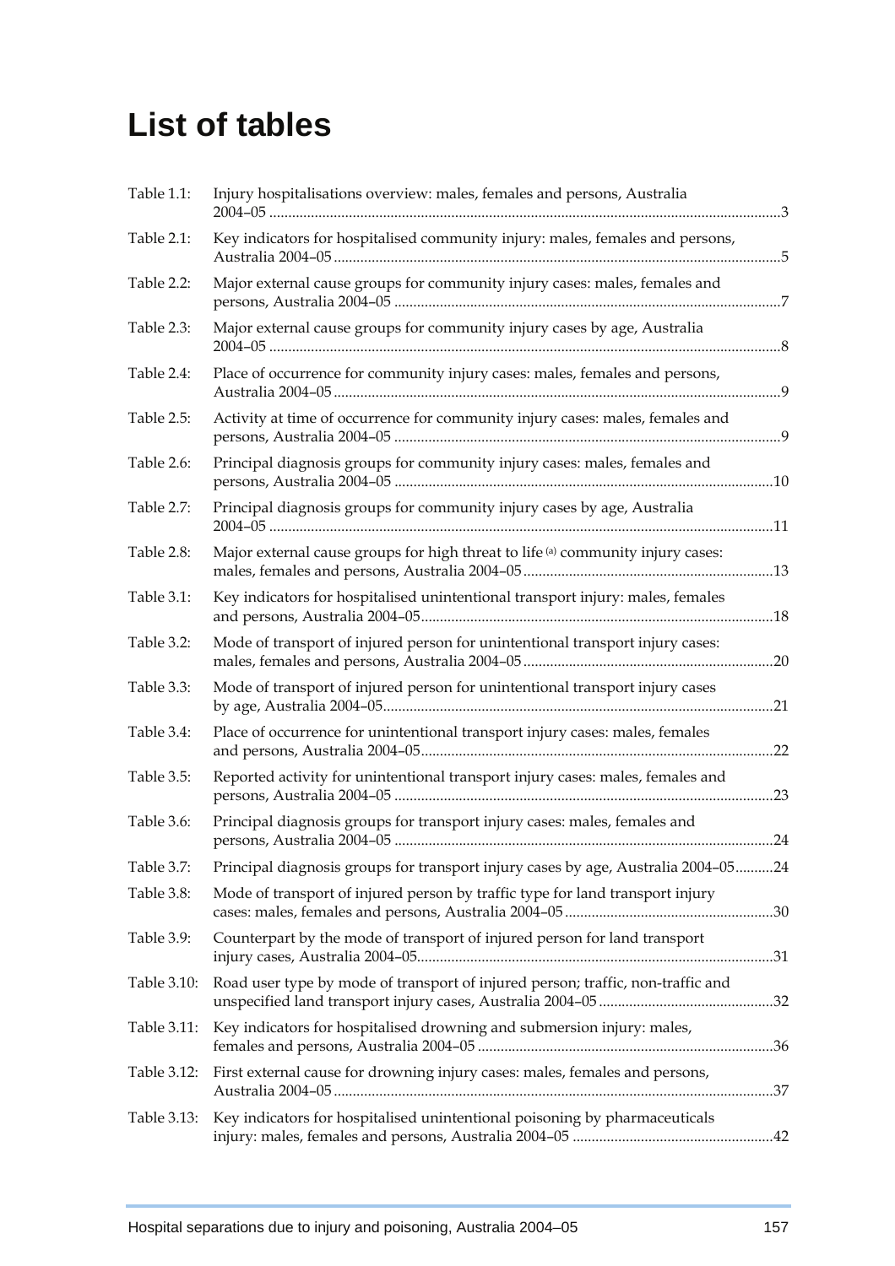## **List of tables**

| Table 1.1:  | Injury hospitalisations overview: males, females and persons, Australia           |  |
|-------------|-----------------------------------------------------------------------------------|--|
| Table 2.1:  | Key indicators for hospitalised community injury: males, females and persons,     |  |
| Table 2.2:  | Major external cause groups for community injury cases: males, females and        |  |
| Table 2.3:  | Major external cause groups for community injury cases by age, Australia          |  |
| Table 2.4:  | Place of occurrence for community injury cases: males, females and persons,       |  |
| Table 2.5:  | Activity at time of occurrence for community injury cases: males, females and     |  |
| Table 2.6:  | Principal diagnosis groups for community injury cases: males, females and         |  |
| Table 2.7:  | Principal diagnosis groups for community injury cases by age, Australia           |  |
| Table 2.8:  | Major external cause groups for high threat to life (a) community injury cases:   |  |
| Table 3.1:  | Key indicators for hospitalised unintentional transport injury: males, females    |  |
| Table 3.2:  | Mode of transport of injured person for unintentional transport injury cases:     |  |
| Table 3.3:  | Mode of transport of injured person for unintentional transport injury cases      |  |
| Table 3.4:  | Place of occurrence for unintentional transport injury cases: males, females      |  |
| Table 3.5:  | Reported activity for unintentional transport injury cases: males, females and    |  |
| Table 3.6:  | Principal diagnosis groups for transport injury cases: males, females and         |  |
| Table 3.7:  | Principal diagnosis groups for transport injury cases by age, Australia 2004-0524 |  |
| Table 3.8:  | Mode of transport of injured person by traffic type for land transport injury     |  |
| Table 3.9:  | Counterpart by the mode of transport of injured person for land transport         |  |
| Table 3.10: | Road user type by mode of transport of injured person; traffic, non-traffic and   |  |
| Table 3.11: | Key indicators for hospitalised drowning and submersion injury: males,            |  |
| Table 3.12: | First external cause for drowning injury cases: males, females and persons,       |  |
| Table 3.13: | Key indicators for hospitalised unintentional poisoning by pharmaceuticals        |  |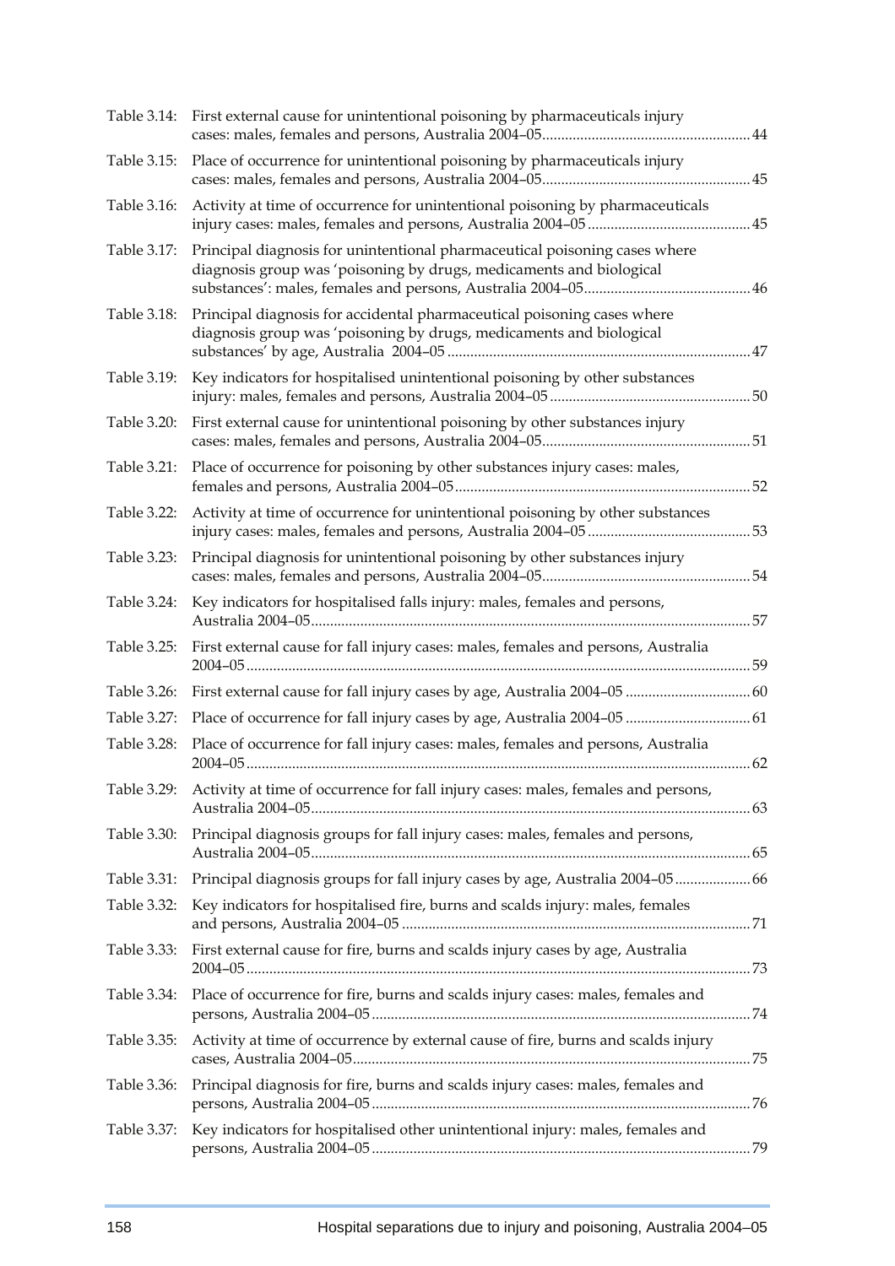| Table 3.14: | First external cause for unintentional poisoning by pharmaceuticals injury                                                                        |  |
|-------------|---------------------------------------------------------------------------------------------------------------------------------------------------|--|
| Table 3.15: | Place of occurrence for unintentional poisoning by pharmaceuticals injury                                                                         |  |
| Table 3.16: | Activity at time of occurrence for unintentional poisoning by pharmaceuticals                                                                     |  |
| Table 3.17: | Principal diagnosis for unintentional pharmaceutical poisoning cases where<br>diagnosis group was 'poisoning by drugs, medicaments and biological |  |
| Table 3.18: | Principal diagnosis for accidental pharmaceutical poisoning cases where<br>diagnosis group was 'poisoning by drugs, medicaments and biological    |  |
| Table 3.19: | Key indicators for hospitalised unintentional poisoning by other substances                                                                       |  |
| Table 3.20: | First external cause for unintentional poisoning by other substances injury                                                                       |  |
| Table 3.21: | Place of occurrence for poisoning by other substances injury cases: males,                                                                        |  |
| Table 3.22: | Activity at time of occurrence for unintentional poisoning by other substances                                                                    |  |
| Table 3.23: | Principal diagnosis for unintentional poisoning by other substances injury                                                                        |  |
| Table 3.24: | Key indicators for hospitalised falls injury: males, females and persons,                                                                         |  |
|             | Table 3.25: First external cause for fall injury cases: males, females and persons, Australia                                                     |  |
| Table 3.26: |                                                                                                                                                   |  |
| Table 3.27: | Place of occurrence for fall injury cases by age, Australia 2004-05  61                                                                           |  |
| Table 3.28: | Place of occurrence for fall injury cases: males, females and persons, Australia                                                                  |  |
|             | Table 3.29: Activity at time of occurrence for fall injury cases: males, females and persons,                                                     |  |
| Table 3.30: | Principal diagnosis groups for fall injury cases: males, females and persons,                                                                     |  |
| Table 3.31: | Principal diagnosis groups for fall injury cases by age, Australia 2004-05  66                                                                    |  |
| Table 3.32: | Key indicators for hospitalised fire, burns and scalds injury: males, females                                                                     |  |
| Table 3.33: | First external cause for fire, burns and scalds injury cases by age, Australia                                                                    |  |
| Table 3.34: | Place of occurrence for fire, burns and scalds injury cases: males, females and                                                                   |  |
| Table 3.35: | Activity at time of occurrence by external cause of fire, burns and scalds injury                                                                 |  |
| Table 3.36: | Principal diagnosis for fire, burns and scalds injury cases: males, females and                                                                   |  |
| Table 3.37: | Key indicators for hospitalised other unintentional injury: males, females and                                                                    |  |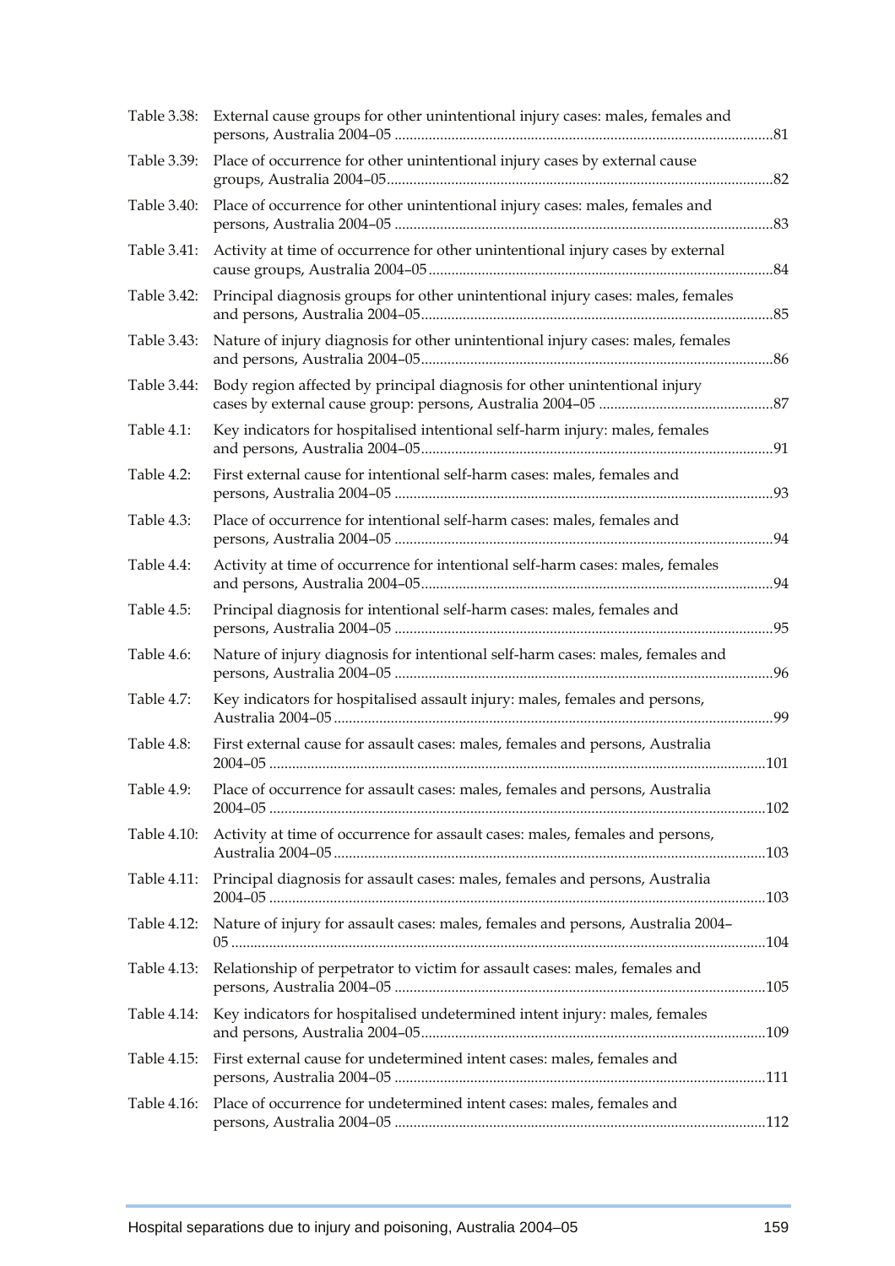|             | Table 3.38: External cause groups for other unintentional injury cases: males, females and |  |
|-------------|--------------------------------------------------------------------------------------------|--|
| Table 3.39: | Place of occurrence for other unintentional injury cases by external cause                 |  |
| Table 3.40: | Place of occurrence for other unintentional injury cases: males, females and               |  |
| Table 3.41: | Activity at time of occurrence for other unintentional injury cases by external            |  |
| Table 3.42: | Principal diagnosis groups for other unintentional injury cases: males, females            |  |
| Table 3.43: | Nature of injury diagnosis for other unintentional injury cases: males, females            |  |
| Table 3.44: | Body region affected by principal diagnosis for other unintentional injury                 |  |
| Table 4.1:  | Key indicators for hospitalised intentional self-harm injury: males, females               |  |
| Table 4.2:  | First external cause for intentional self-harm cases: males, females and                   |  |
| Table 4.3:  | Place of occurrence for intentional self-harm cases: males, females and                    |  |
| Table 4.4:  | Activity at time of occurrence for intentional self-harm cases: males, females             |  |
| Table 4.5:  | Principal diagnosis for intentional self-harm cases: males, females and                    |  |
| Table 4.6:  | Nature of injury diagnosis for intentional self-harm cases: males, females and             |  |
| Table 4.7:  | Key indicators for hospitalised assault injury: males, females and persons,                |  |
| Table 4.8:  | First external cause for assault cases: males, females and persons, Australia              |  |
| Table 4.9:  | Place of occurrence for assault cases: males, females and persons, Australia               |  |
| Table 4.10: | Activity at time of occurrence for assault cases: males, females and persons,              |  |
| Table 4.11: | Principal diagnosis for assault cases: males, females and persons, Australia               |  |
| Table 4.12: | Nature of injury for assault cases: males, females and persons, Australia 2004-            |  |
| Table 4.13: | Relationship of perpetrator to victim for assault cases: males, females and                |  |
| Table 4.14: | Key indicators for hospitalised undetermined intent injury: males, females                 |  |
| Table 4.15: | First external cause for undetermined intent cases: males, females and                     |  |
| Table 4.16: | Place of occurrence for undetermined intent cases: males, females and                      |  |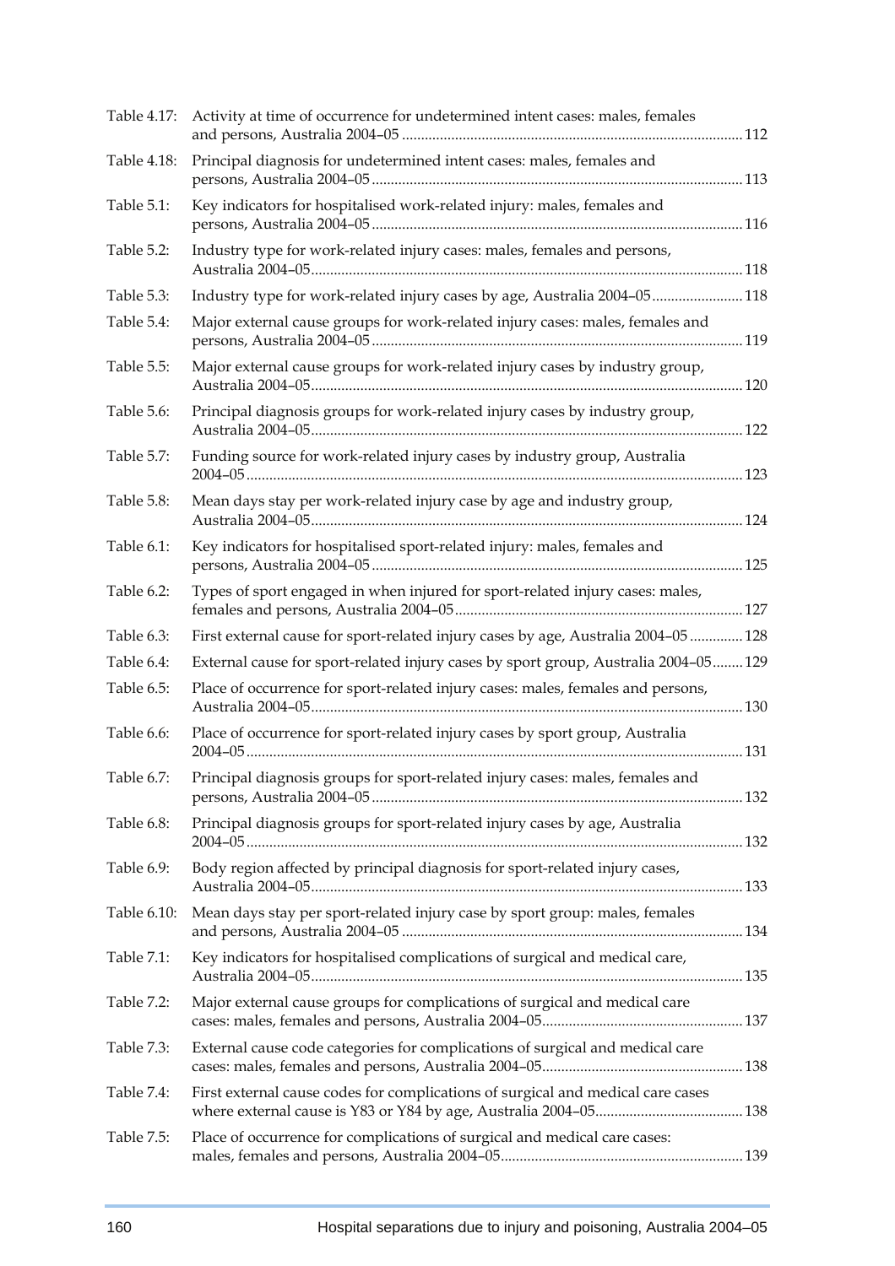| Table 4.17:   | Activity at time of occurrence for undetermined intent cases: males, females        |  |
|---------------|-------------------------------------------------------------------------------------|--|
| Table 4.18:   | Principal diagnosis for undetermined intent cases: males, females and               |  |
| Table 5.1:    | Key indicators for hospitalised work-related injury: males, females and             |  |
| Table 5.2:    | Industry type for work-related injury cases: males, females and persons,            |  |
| Table 5.3:    | Industry type for work-related injury cases by age, Australia 2004-05 118           |  |
| Table 5.4:    | Major external cause groups for work-related injury cases: males, females and       |  |
| Table 5.5:    | Major external cause groups for work-related injury cases by industry group,        |  |
| Table 5.6:    | Principal diagnosis groups for work-related injury cases by industry group,         |  |
| Table 5.7:    | Funding source for work-related injury cases by industry group, Australia           |  |
| Table 5.8:    | Mean days stay per work-related injury case by age and industry group,              |  |
| Table 6.1:    | Key indicators for hospitalised sport-related injury: males, females and            |  |
| Table 6.2:    | Types of sport engaged in when injured for sport-related injury cases: males,       |  |
| Table 6.3:    | First external cause for sport-related injury cases by age, Australia 2004-05  128  |  |
| Table 6.4:    | External cause for sport-related injury cases by sport group, Australia 2004-05 129 |  |
| Table 6.5:    | Place of occurrence for sport-related injury cases: males, females and persons,     |  |
| Table 6.6:    | Place of occurrence for sport-related injury cases by sport group, Australia        |  |
| Table $6.7$ : | Principal diagnosis groups for sport-related injury cases: males, females and       |  |
| Table 6.8:    | Principal diagnosis groups for sport-related injury cases by age, Australia         |  |
| Table 6.9:    | Body region affected by principal diagnosis for sport-related injury cases,         |  |
| Table 6.10:   | Mean days stay per sport-related injury case by sport group: males, females         |  |
| Table 7.1:    | Key indicators for hospitalised complications of surgical and medical care,         |  |
| Table 7.2:    | Major external cause groups for complications of surgical and medical care          |  |
| Table 7.3:    | External cause code categories for complications of surgical and medical care       |  |
| Table 7.4:    | First external cause codes for complications of surgical and medical care cases     |  |
| Table 7.5:    | Place of occurrence for complications of surgical and medical care cases:           |  |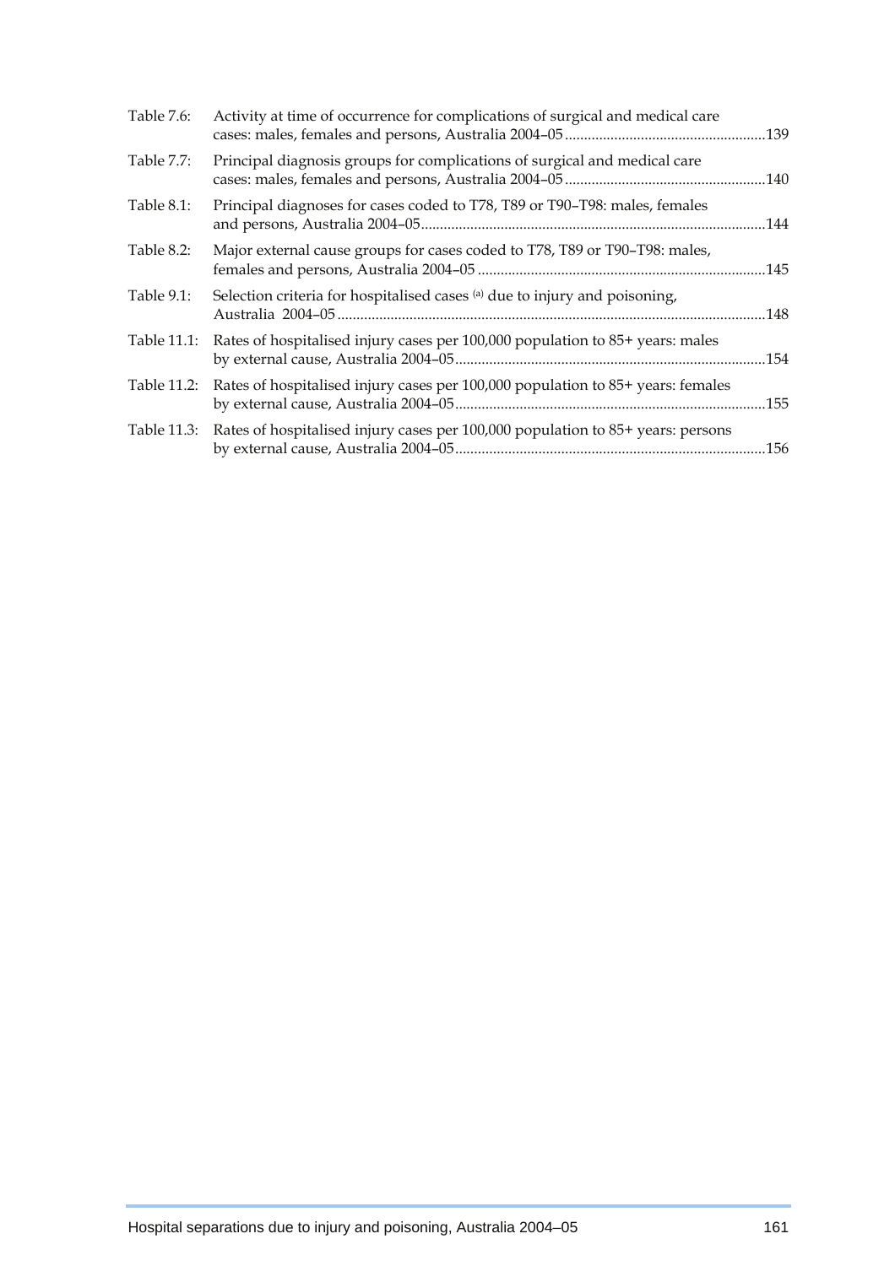| Table 7.6:  | Activity at time of occurrence for complications of surgical and medical care               |  |
|-------------|---------------------------------------------------------------------------------------------|--|
| Table 7.7:  | Principal diagnosis groups for complications of surgical and medical care                   |  |
| Table 8.1:  | Principal diagnoses for cases coded to T78, T89 or T90-T98: males, females                  |  |
| Table 8.2:  | Major external cause groups for cases coded to T78, T89 or T90-T98: males,                  |  |
| Table 9.1:  | Selection criteria for hospitalised cases (a) due to injury and poisoning,                  |  |
| Table 11.1: | Rates of hospitalised injury cases per 100,000 population to 85+ years: males               |  |
|             | Table 11.2: Rates of hospitalised injury cases per 100,000 population to 85+ years: females |  |
|             | Table 11.3: Rates of hospitalised injury cases per 100,000 population to 85+ years: persons |  |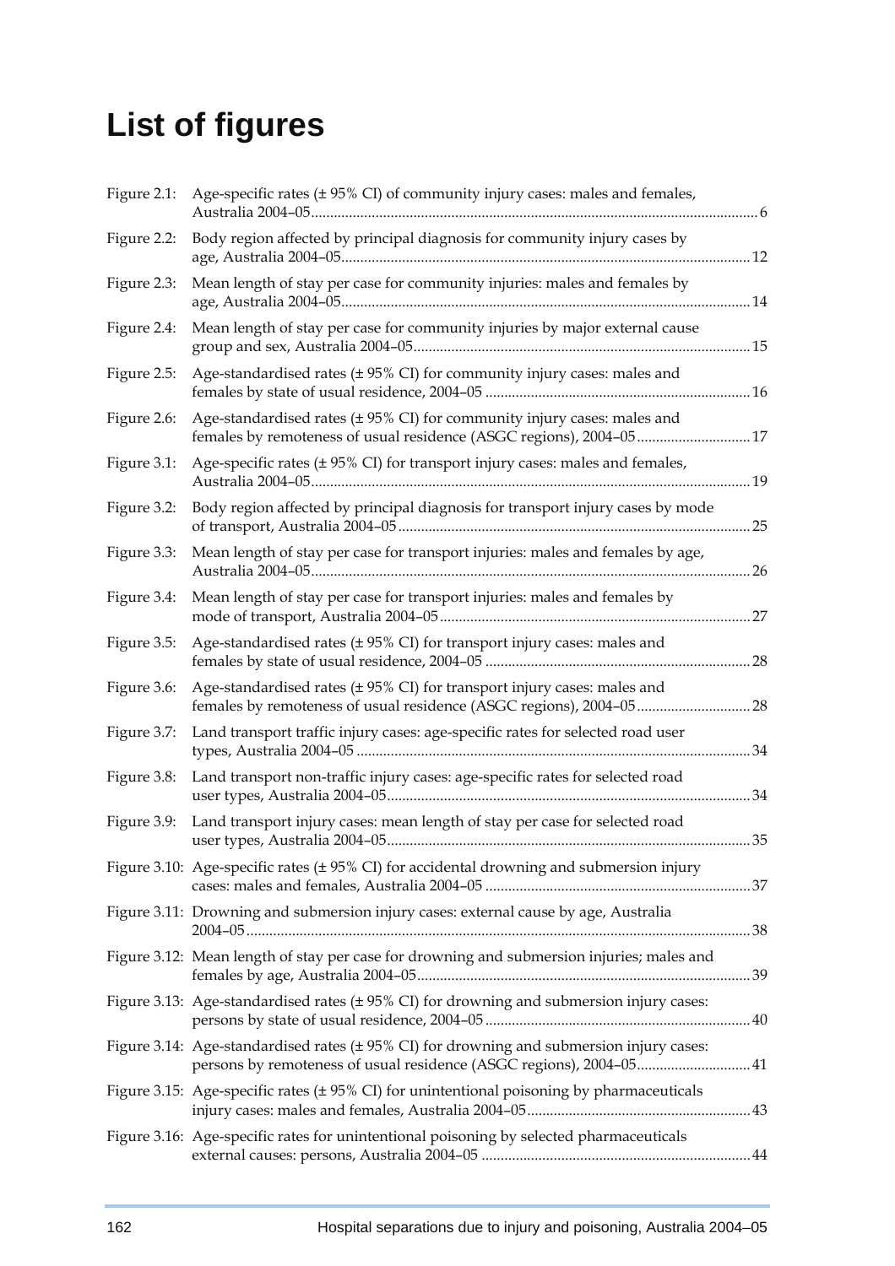## **List of figures**

| Figure 2.1: | Age-specific rates (±95% CI) of community injury cases: males and females,                                                                                     |     |
|-------------|----------------------------------------------------------------------------------------------------------------------------------------------------------------|-----|
| Figure 2.2: | Body region affected by principal diagnosis for community injury cases by                                                                                      |     |
| Figure 2.3: | Mean length of stay per case for community injuries: males and females by                                                                                      |     |
| Figure 2.4: | Mean length of stay per case for community injuries by major external cause                                                                                    |     |
| Figure 2.5: | Age-standardised rates (± 95% CI) for community injury cases: males and                                                                                        |     |
| Figure 2.6: | Age-standardised rates (± 95% CI) for community injury cases: males and                                                                                        |     |
| Figure 3.1: | Age-specific rates (± 95% CI) for transport injury cases: males and females,                                                                                   |     |
| Figure 3.2: | Body region affected by principal diagnosis for transport injury cases by mode                                                                                 |     |
| Figure 3.3: | Mean length of stay per case for transport injuries: males and females by age,                                                                                 | .26 |
| Figure 3.4: | Mean length of stay per case for transport injuries: males and females by                                                                                      |     |
| Figure 3.5: | Age-standardised rates (± 95% CI) for transport injury cases: males and                                                                                        | .28 |
| Figure 3.6: | Age-standardised rates (± 95% CI) for transport injury cases: males and                                                                                        |     |
| Figure 3.7: | Land transport traffic injury cases: age-specific rates for selected road user                                                                                 | 34  |
| Figure 3.8: | Land transport non-traffic injury cases: age-specific rates for selected road                                                                                  | .34 |
| Figure 3.9: | Land transport injury cases: mean length of stay per case for selected road                                                                                    | .35 |
|             | Figure 3.10: Age-specific rates (± 95% CI) for accidental drowning and submersion injury                                                                       |     |
|             | Figure 3.11: Drowning and submersion injury cases: external cause by age, Australia                                                                            |     |
|             | Figure 3.12: Mean length of stay per case for drowning and submersion injuries; males and                                                                      |     |
|             | Figure 3.13: Age-standardised rates (± 95% CI) for drowning and submersion injury cases:                                                                       |     |
|             | Figure 3.14: Age-standardised rates (±95% CI) for drowning and submersion injury cases:<br>persons by remoteness of usual residence (ASGC regions), 2004-05 41 |     |
|             | Figure 3.15: Age-specific rates $(\pm 95\%$ CI) for unintentional poisoning by pharmaceuticals                                                                 |     |
|             | Figure 3.16: Age-specific rates for unintentional poisoning by selected pharmaceuticals                                                                        |     |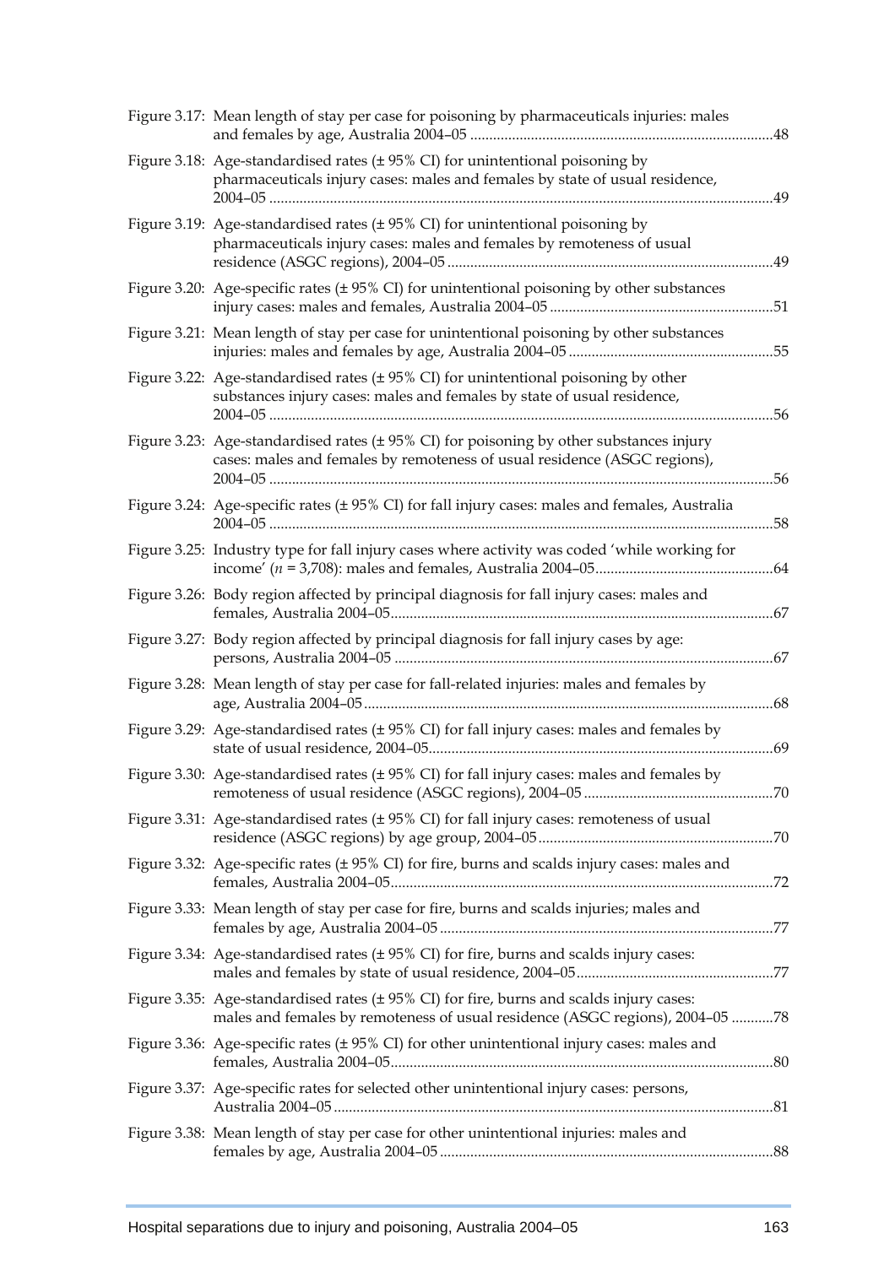| Figure 3.17: Mean length of stay per case for poisoning by pharmaceuticals injuries: males                                                                               | .48 |
|--------------------------------------------------------------------------------------------------------------------------------------------------------------------------|-----|
| Figure 3.18: Age-standardised rates (±95% CI) for unintentional poisoning by<br>pharmaceuticals injury cases: males and females by state of usual residence,             | .49 |
| Figure 3.19: Age-standardised rates (±95% CI) for unintentional poisoning by<br>pharmaceuticals injury cases: males and females by remoteness of usual                   | .49 |
| Figure 3.20: Age-specific rates (±95% CI) for unintentional poisoning by other substances                                                                                |     |
| Figure 3.21: Mean length of stay per case for unintentional poisoning by other substances                                                                                | 55  |
| Figure 3.22: Age-standardised rates (±95% CI) for unintentional poisoning by other<br>substances injury cases: males and females by state of usual residence,            | .56 |
| Figure 3.23: Age-standardised rates (± 95% CI) for poisoning by other substances injury<br>cases: males and females by remoteness of usual residence (ASGC regions),     | .56 |
| Figure 3.24: Age-specific rates (± 95% CI) for fall injury cases: males and females, Australia                                                                           | 58  |
| Figure 3.25: Industry type for fall injury cases where activity was coded 'while working for                                                                             |     |
| Figure 3.26: Body region affected by principal diagnosis for fall injury cases: males and                                                                                |     |
| Figure 3.27: Body region affected by principal diagnosis for fall injury cases by age:                                                                                   | .67 |
| Figure 3.28: Mean length of stay per case for fall-related injuries: males and females by                                                                                |     |
| Figure 3.29: Age-standardised rates (± 95% CI) for fall injury cases: males and females by                                                                               | 69  |
| Figure 3.30: Age-standardised rates (± 95% CI) for fall injury cases: males and females by                                                                               |     |
| Figure 3.31: Age-standardised rates (± 95% CI) for fall injury cases: remoteness of usual                                                                                |     |
| Figure 3.32: Age-specific rates (± 95% CI) for fire, burns and scalds injury cases: males and                                                                            |     |
| Figure 3.33: Mean length of stay per case for fire, burns and scalds injuries; males and                                                                                 |     |
| Figure 3.34: Age-standardised rates (± 95% CI) for fire, burns and scalds injury cases:                                                                                  |     |
| Figure 3.35: Age-standardised rates (± 95% CI) for fire, burns and scalds injury cases:<br>males and females by remoteness of usual residence (ASGC regions), 2004-05 78 |     |
| Figure 3.36: Age-specific rates $(\pm 95\% \text{ CI})$ for other unintentional injury cases: males and                                                                  |     |
| Figure 3.37: Age-specific rates for selected other unintentional injury cases: persons,                                                                                  |     |
| Figure 3.38: Mean length of stay per case for other unintentional injuries: males and                                                                                    |     |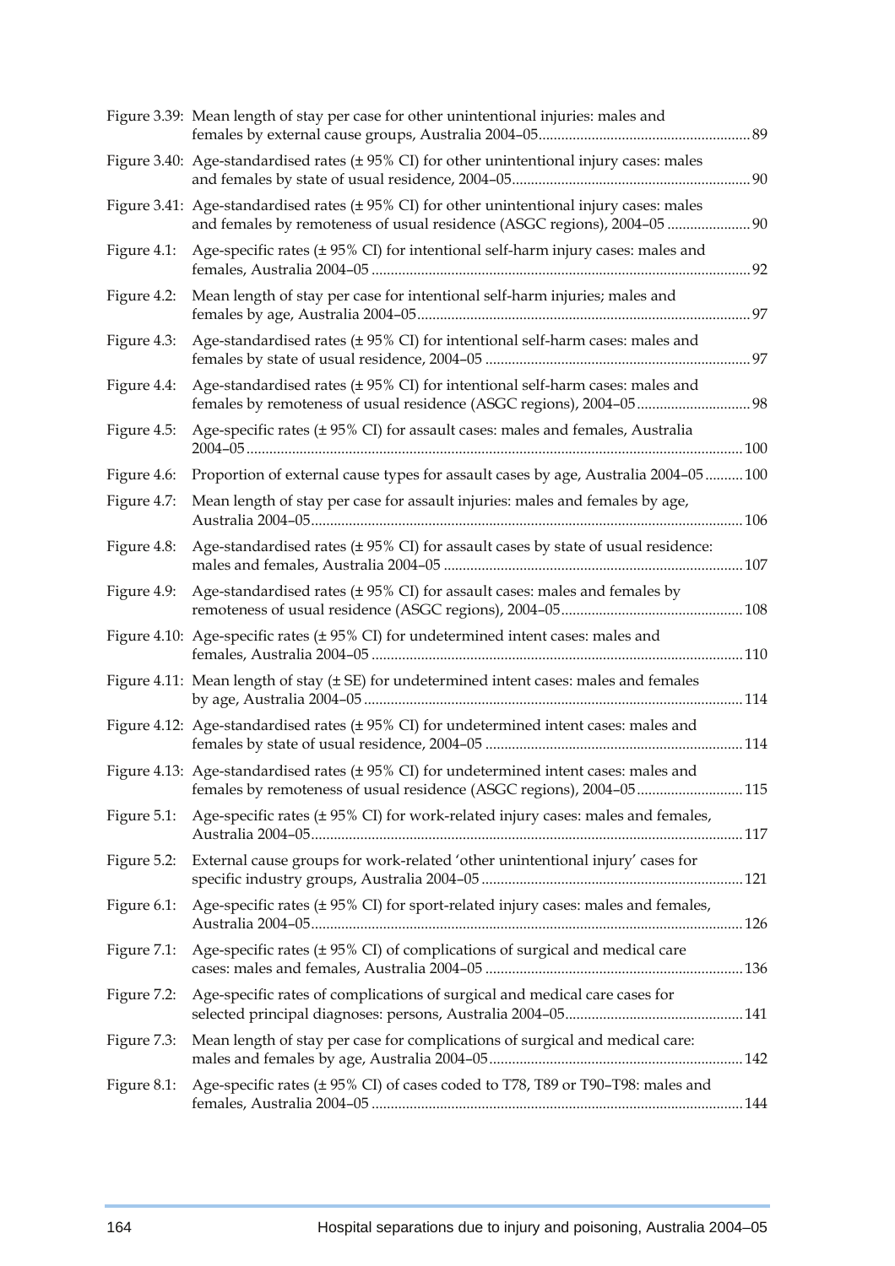|             | Figure 3.39: Mean length of stay per case for other unintentional injuries: males and                                                                                       |  |
|-------------|-----------------------------------------------------------------------------------------------------------------------------------------------------------------------------|--|
|             | Figure 3.40: Age-standardised rates $(± 95% CI)$ for other unintentional injury cases: males                                                                                |  |
|             | Figure 3.41: Age-standardised rates ( $\pm$ 95% CI) for other unintentional injury cases: males<br>and females by remoteness of usual residence (ASGC regions), 2004-05  90 |  |
| Figure 4.1: | Age-specific rates $(\pm 95\%$ CI) for intentional self-harm injury cases: males and                                                                                        |  |
| Figure 4.2: | Mean length of stay per case for intentional self-harm injuries; males and                                                                                                  |  |
| Figure 4.3: | Age-standardised rates (±95% CI) for intentional self-harm cases: males and                                                                                                 |  |
| Figure 4.4: | Age-standardised rates (± 95% CI) for intentional self-harm cases: males and                                                                                                |  |
| Figure 4.5: | Age-specific rates (± 95% CI) for assault cases: males and females, Australia                                                                                               |  |
| Figure 4.6: | Proportion of external cause types for assault cases by age, Australia 2004-05  100                                                                                         |  |
| Figure 4.7: | Mean length of stay per case for assault injuries: males and females by age,                                                                                                |  |
| Figure 4.8: | Age-standardised rates (±95% CI) for assault cases by state of usual residence:                                                                                             |  |
| Figure 4.9: | Age-standardised rates (±95% CI) for assault cases: males and females by                                                                                                    |  |
|             | Figure 4.10: Age-specific rates (± 95% CI) for undetermined intent cases: males and                                                                                         |  |
|             | Figure 4.11: Mean length of stay (± SE) for undetermined intent cases: males and females                                                                                    |  |
|             | Figure 4.12: Age-standardised rates (±95% CI) for undetermined intent cases: males and                                                                                      |  |
|             | Figure 4.13: Age-standardised rates (±95% CI) for undetermined intent cases: males and<br>females by remoteness of usual residence (ASGC regions), 2004-05 115              |  |
| Figure 5.1: | Age-specific rates (± 95% CI) for work-related injury cases: males and females,                                                                                             |  |
| Figure 5.2: | External cause groups for work-related 'other unintentional injury' cases for                                                                                               |  |
| Figure 6.1: | Age-specific rates (± 95% CI) for sport-related injury cases: males and females,                                                                                            |  |
| Figure 7.1: | Age-specific rates (± 95% CI) of complications of surgical and medical care                                                                                                 |  |
| Figure 7.2: | Age-specific rates of complications of surgical and medical care cases for                                                                                                  |  |
| Figure 7.3: | Mean length of stay per case for complications of surgical and medical care:                                                                                                |  |
| Figure 8.1: | Age-specific rates (± 95% CI) of cases coded to T78, T89 or T90-T98: males and                                                                                              |  |